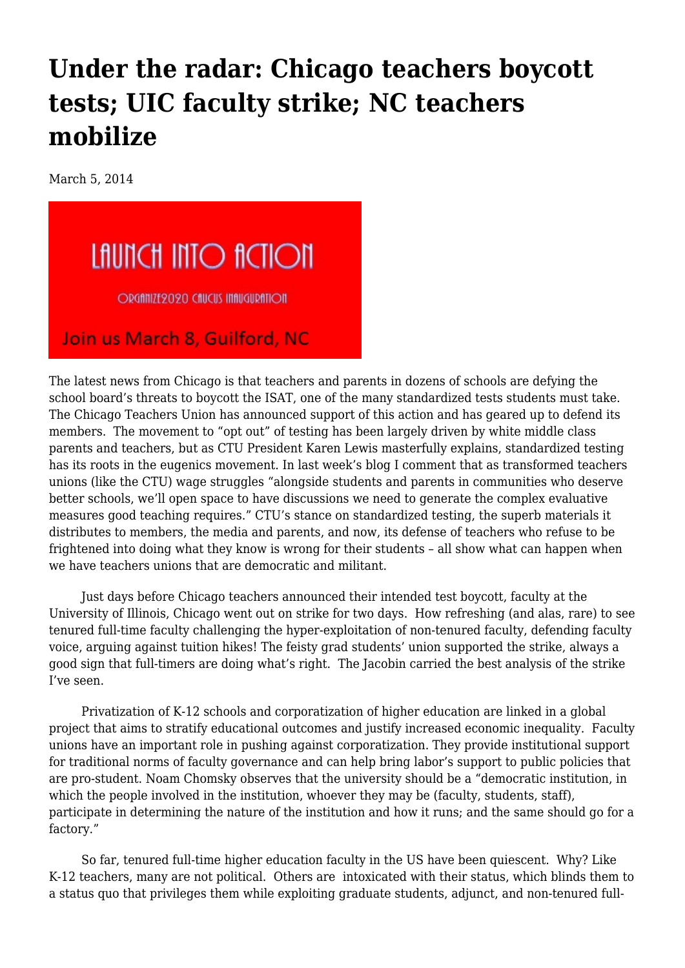## **[Under the radar: Chicago teachers boycott](https://newpol.org/under-radar-chicago-teachers-boycott-tests-uic-faculty-strike-nc-teachers-mobilize/) [tests; UIC faculty strike; NC teachers](https://newpol.org/under-radar-chicago-teachers-boycott-tests-uic-faculty-strike-nc-teachers-mobilize/) [mobilize](https://newpol.org/under-radar-chicago-teachers-boycott-tests-uic-faculty-strike-nc-teachers-mobilize/)**

March 5, 2014



The latest news from Chicago is that [teachers and parents in dozens of schools](http://www.ctunet.com/blog/isat-boycott-spreads-to-74-schools) are defying the school board's threats to boycott the ISAT, one of the many standardized tests students must take. The Chicago Teachers Union has announced support of this action and has geared up to defend its members. The movement to "opt out" of testing has been largely driven by white middle class parents and teachers, but as CTU President Karen Lewis [masterfully explains](http://www.ctunet.com/blog/the-impact-of-testing-and-natural-inequality-on-our-classrooms), standardized testing has its roots in the eugenics movement. In last week's blog I comment that as transformed teachers unions (like the CTU) wage struggles "alongside students and parents in communities who deserve better schools, we'll open space to have discussions we need to generate the complex evaluative measures good teaching requires." CTU's stance on standardized testing, [the superb materials](http://www.ctunet.com/quest-center/research/position-papers/text/CTU_Testing_Position_Brief_web.pdf) it distributes to members, the media and parents, and now, its defense of teachers who refuse to be frightened into doing what they know is wrong for their students – all show what can happen when we have teachers unions that are democratic and militant.

 Just days before Chicago teachers announced their intended test boycott, faculty at the University of Illinois, Chicago went out on strike for two days. How refreshing (and alas, rare) to see tenured full-time faculty challenging the hyper-exploitation of non-tenured faculty, defending faculty voice, arguing against tuition hikes! The feisty grad students' union supported the strike, always a good sign that full-timers are doing what's right. The Jacobin carried [the best analysis of the strike](https://www.jacobinmag.com/2014/02/faculty-on-strike/) I've seen.

 Privatization of K-12 schools and corporatization of higher education are linked in a global project that aims to stratify educational outcomes and justify increased economic inequality. Faculty unions have an important role in pushing against corporatization. They provide institutional support for traditional norms of faculty governance and can help bring labor's support to public policies that are pro-student. [Noam Chomsky](http://www.alternet.org/corporate-accountability-and-workplace/chomsky-how-americas-great-university-system-getting) observes that the university should be a "democratic institution, in which the people involved in the institution, whoever they may be (faculty, students, staff), participate in determining the nature of the institution and how it runs; and the same should go for a factory."

 So far, tenured full-time higher education faculty in the US have been quiescent. Why? Like K-12 teachers, many are not political. Others are intoxicated with their status, which blinds them to a status quo that privileges them [while exploiting](http://www.npr.org/2014/02/20/279987644/faculty-not-on-tenure-track-rises-steadily-over-last-4-decades) graduate students, adjunct, and non-tenured full-